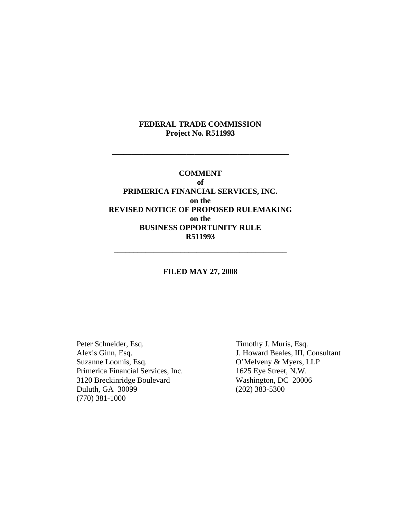## **FEDERAL TRADE COMMISSION Project No. R511993**

\_\_\_\_\_\_\_\_\_\_\_\_\_\_\_\_\_\_\_\_\_\_\_\_\_\_\_\_\_\_\_\_\_\_\_\_\_\_\_\_\_\_\_\_\_

## **COMMENT of PRIMERICA FINANCIAL SERVICES, INC. on the REVISED NOTICE OF PROPOSED RULEMAKING on the BUSINESS OPPORTUNITY RULE R511993**

### **FILED MAY 27, 2008**

\_\_\_\_\_\_\_\_\_\_\_\_\_\_\_\_\_\_\_\_\_\_\_\_\_\_\_\_\_\_\_\_\_\_\_\_\_\_\_\_\_\_\_\_

Peter Schneider, Esq. Timothy J. Muris, Esq. <br>Alexis Ginn, Esq. J. Howard Beales, III, C Primerica Financial Services, Inc. 1625 Eye Street, N.W.<br>3120 Breckinridge Boulevard Washington, DC 20006 3120 Breckinridge Boulevard Duluth, GA 30099 (202) 383-5300 (770) 381-1000

Alexis Ginn, Esq.<br>
Suzanne Loomis, Esq.<br>
O'Melveny & Myers, LLP O'Melveny & Myers, LLP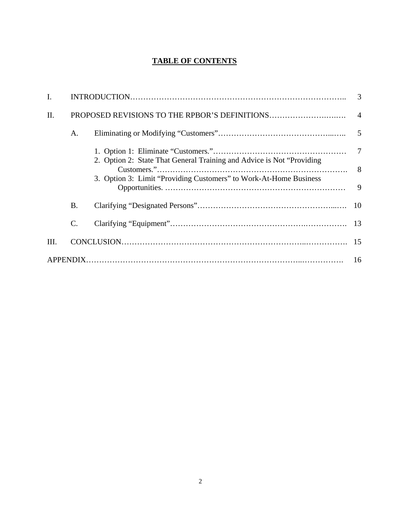# **TABLE OF CONTENTS**

| I.   |                 |                                                                        |  |
|------|-----------------|------------------------------------------------------------------------|--|
| Π.   |                 |                                                                        |  |
|      | A.              |                                                                        |  |
|      |                 | 2. Option 2: State That General Training and Advice is Not "Providing" |  |
|      |                 |                                                                        |  |
|      |                 | 3. Option 3: Limit "Providing Customers" to Work-At-Home Business      |  |
|      | <b>B.</b>       |                                                                        |  |
|      | $\mathcal{C}$ . |                                                                        |  |
| III. |                 |                                                                        |  |
|      |                 |                                                                        |  |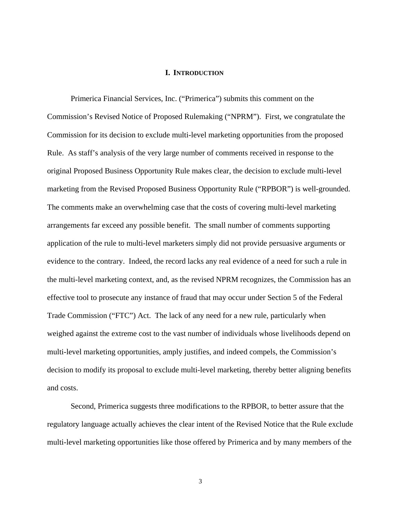### **I. INTRODUCTION**

Primerica Financial Services, Inc. ("Primerica") submits this comment on the Commission's Revised Notice of Proposed Rulemaking ("NPRM"). First, we congratulate the Commission for its decision to exclude multi-level marketing opportunities from the proposed Rule. As staff's analysis of the very large number of comments received in response to the original Proposed Business Opportunity Rule makes clear, the decision to exclude multi-level marketing from the Revised Proposed Business Opportunity Rule ("RPBOR") is well-grounded. The comments make an overwhelming case that the costs of covering multi-level marketing arrangements far exceed any possible benefit. The small number of comments supporting application of the rule to multi-level marketers simply did not provide persuasive arguments or evidence to the contrary. Indeed, the record lacks any real evidence of a need for such a rule in the multi-level marketing context, and, as the revised NPRM recognizes, the Commission has an effective tool to prosecute any instance of fraud that may occur under Section 5 of the Federal Trade Commission ("FTC") Act. The lack of any need for a new rule, particularly when weighed against the extreme cost to the vast number of individuals whose livelihoods depend on multi-level marketing opportunities, amply justifies, and indeed compels, the Commission's decision to modify its proposal to exclude multi-level marketing, thereby better aligning benefits and costs.

Second, Primerica suggests three modifications to the RPBOR, to better assure that the regulatory language actually achieves the clear intent of the Revised Notice that the Rule exclude multi-level marketing opportunities like those offered by Primerica and by many members of the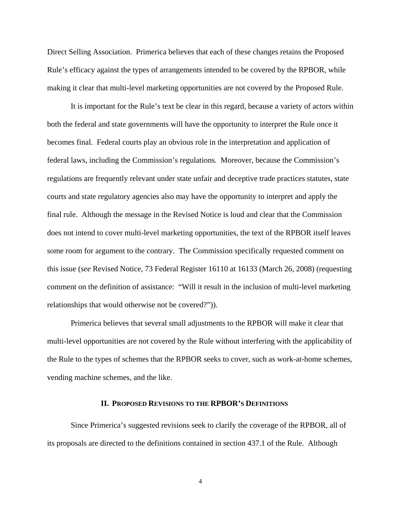Direct Selling Association. Primerica believes that each of these changes retains the Proposed Rule's efficacy against the types of arrangements intended to be covered by the RPBOR, while making it clear that multi-level marketing opportunities are not covered by the Proposed Rule.

It is important for the Rule's text be clear in this regard, because a variety of actors within both the federal and state governments will have the opportunity to interpret the Rule once it becomes final. Federal courts play an obvious role in the interpretation and application of federal laws, including the Commission's regulations. Moreover, because the Commission's regulations are frequently relevant under state unfair and deceptive trade practices statutes, state courts and state regulatory agencies also may have the opportunity to interpret and apply the final rule. Although the message in the Revised Notice is loud and clear that the Commission does not intend to cover multi-level marketing opportunities, the text of the RPBOR itself leaves some room for argument to the contrary. The Commission specifically requested comment on this issue (*see* Revised Notice, 73 Federal Register 16110 at 16133 (March 26, 2008) (requesting comment on the definition of assistance: "Will it result in the inclusion of multi-level marketing relationships that would otherwise not be covered?")).

Primerica believes that several small adjustments to the RPBOR will make it clear that multi-level opportunities are not covered by the Rule without interfering with the applicability of the Rule to the types of schemes that the RPBOR seeks to cover, such as work-at-home schemes, vending machine schemes, and the like.

#### **II. PROPOSED REVISIONS TO THE RPBOR'S DEFINITIONS**

Since Primerica's suggested revisions seek to clarify the coverage of the RPBOR, all of its proposals are directed to the definitions contained in section 437.1 of the Rule. Although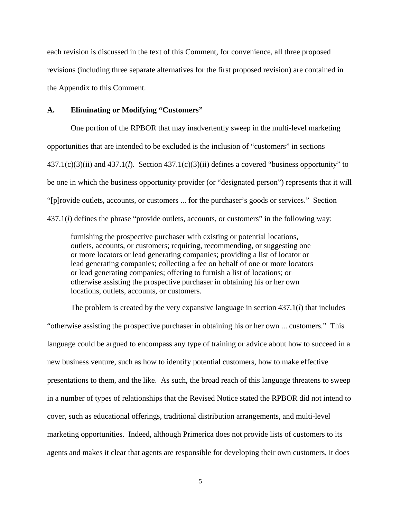each revision is discussed in the text of this Comment, for convenience, all three proposed revisions (including three separate alternatives for the first proposed revision) are contained in the Appendix to this Comment.

### **A. Eliminating or Modifying "Customers"**

One portion of the RPBOR that may inadvertently sweep in the multi-level marketing opportunities that are intended to be excluded is the inclusion of "customers" in sections 437.1(c)(3)(ii) and 437.1(*l*). Section 437.1(c)(3)(ii) defines a covered "business opportunity" to be one in which the business opportunity provider (or "designated person") represents that it will "[p]rovide outlets, accounts, or customers ... for the purchaser's goods or services." Section 437.1(*l*) defines the phrase "provide outlets, accounts, or customers" in the following way:

furnishing the prospective purchaser with existing or potential locations, outlets, accounts, or customers; requiring, recommending, or suggesting one or more locators or lead generating companies; providing a list of locator or lead generating companies; collecting a fee on behalf of one or more locators or lead generating companies; offering to furnish a list of locations; or otherwise assisting the prospective purchaser in obtaining his or her own locations, outlets, accounts, or customers.

The problem is created by the very expansive language in section 437.1(*l*) that includes "otherwise assisting the prospective purchaser in obtaining his or her own ... customers." This language could be argued to encompass any type of training or advice about how to succeed in a new business venture, such as how to identify potential customers, how to make effective presentations to them, and the like. As such, the broad reach of this language threatens to sweep in a number of types of relationships that the Revised Notice stated the RPBOR did not intend to cover, such as educational offerings, traditional distribution arrangements, and multi-level marketing opportunities. Indeed, although Primerica does not provide lists of customers to its agents and makes it clear that agents are responsible for developing their own customers, it does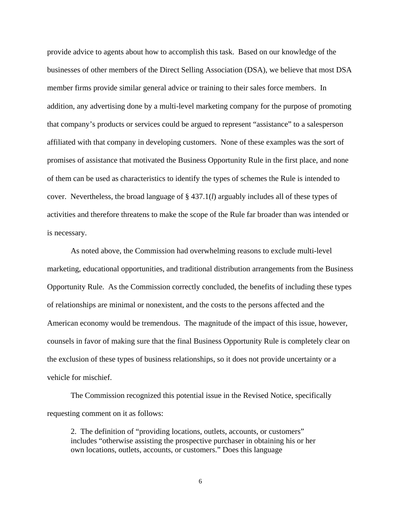provide advice to agents about how to accomplish this task. Based on our knowledge of the businesses of other members of the Direct Selling Association (DSA), we believe that most DSA member firms provide similar general advice or training to their sales force members. In addition, any advertising done by a multi-level marketing company for the purpose of promoting that company's products or services could be argued to represent "assistance" to a salesperson affiliated with that company in developing customers. None of these examples was the sort of promises of assistance that motivated the Business Opportunity Rule in the first place, and none of them can be used as characteristics to identify the types of schemes the Rule is intended to cover. Nevertheless, the broad language of § 437.1(*l*) arguably includes all of these types of activities and therefore threatens to make the scope of the Rule far broader than was intended or is necessary.

As noted above, the Commission had overwhelming reasons to exclude multi-level marketing, educational opportunities, and traditional distribution arrangements from the Business Opportunity Rule. As the Commission correctly concluded, the benefits of including these types of relationships are minimal or nonexistent, and the costs to the persons affected and the American economy would be tremendous. The magnitude of the impact of this issue, however, counsels in favor of making sure that the final Business Opportunity Rule is completely clear on the exclusion of these types of business relationships, so it does not provide uncertainty or a vehicle for mischief.

The Commission recognized this potential issue in the Revised Notice, specifically requesting comment on it as follows:

2. The definition of "providing locations, outlets, accounts, or customers" includes "otherwise assisting the prospective purchaser in obtaining his or her own locations, outlets, accounts, or customers." Does this language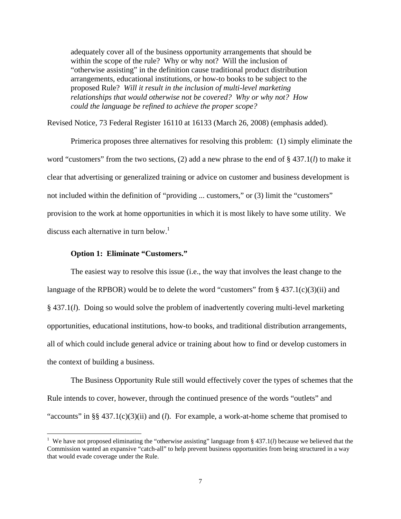adequately cover all of the business opportunity arrangements that should be within the scope of the rule? Why or why not? Will the inclusion of "otherwise assisting" in the definition cause traditional product distribution arrangements, educational institutions, or how-to books to be subject to the proposed Rule? *Will it result in the inclusion of multi-level marketing relationships that would otherwise not be covered? Why or why not? How could the language be refined to achieve the proper scope?* 

Revised Notice, 73 Federal Register 16110 at 16133 (March 26, 2008) (emphasis added).

Primerica proposes three alternatives for resolving this problem: (1) simply eliminate the word "customers" from the two sections, (2) add a new phrase to the end of § 437.1(*l*) to make it clear that advertising or generalized training or advice on customer and business development is not included within the definition of "providing ... customers," or (3) limit the "customers" provision to the work at home opportunities in which it is most likely to have some utility. We discuss each alternative in turn below.<sup>1</sup>

### **Option 1: Eliminate "Customers."**

The easiest way to resolve this issue (i.e., the way that involves the least change to the language of the RPBOR) would be to delete the word "customers" from  $\S$  437.1(c)(3)(ii) and § 437.1(*l*). Doing so would solve the problem of inadvertently covering multi-level marketing opportunities, educational institutions, how-to books, and traditional distribution arrangements, all of which could include general advice or training about how to find or develop customers in the context of building a business.

The Business Opportunity Rule still would effectively cover the types of schemes that the Rule intends to cover, however, through the continued presence of the words "outlets" and "accounts" in §§ 437.1(c)(3)(ii) and (*l*). For example, a work-at-home scheme that promised to

<sup>&</sup>lt;sup>1</sup> We have not proposed eliminating the "otherwise assisting" language from  $\S$  437.1(*l*) because we believed that the Commission wanted an expansive "catch-all" to help prevent business opportunities from being structured in a way that would evade coverage under the Rule.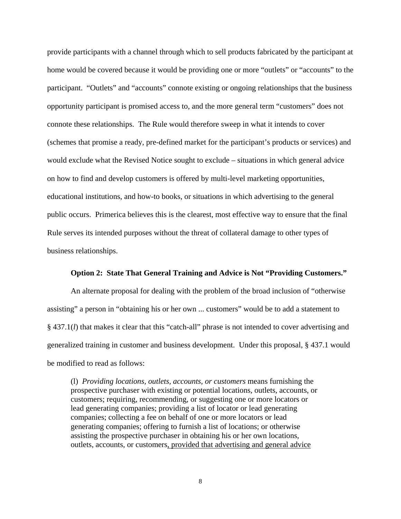provide participants with a channel through which to sell products fabricated by the participant at home would be covered because it would be providing one or more "outlets" or "accounts" to the participant. "Outlets" and "accounts" connote existing or ongoing relationships that the business opportunity participant is promised access to, and the more general term "customers" does not connote these relationships. The Rule would therefore sweep in what it intends to cover (schemes that promise a ready, pre-defined market for the participant's products or services) and would exclude what the Revised Notice sought to exclude – situations in which general advice on how to find and develop customers is offered by multi-level marketing opportunities, educational institutions, and how-to books, or situations in which advertising to the general public occurs. Primerica believes this is the clearest, most effective way to ensure that the final Rule serves its intended purposes without the threat of collateral damage to other types of business relationships.

### **Option 2: State That General Training and Advice is Not "Providing Customers."**

An alternate proposal for dealing with the problem of the broad inclusion of "otherwise assisting" a person in "obtaining his or her own ... customers" would be to add a statement to § 437.1(*l*) that makes it clear that this "catch-all" phrase is not intended to cover advertising and generalized training in customer and business development. Under this proposal, § 437.1 would be modified to read as follows:

(l) *Providing locations, outlets, accounts, or customers* means furnishing the prospective purchaser with existing or potential locations, outlets, accounts, or customers; requiring, recommending, or suggesting one or more locators or lead generating companies; providing a list of locator or lead generating companies; collecting a fee on behalf of one or more locators or lead generating companies; offering to furnish a list of locations; or otherwise assisting the prospective purchaser in obtaining his or her own locations, outlets, accounts, or customers, provided that advertising and general advice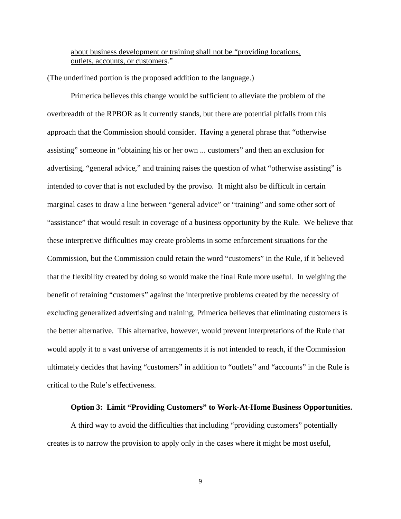about business development or training shall not be "providing locations, outlets, accounts, or customers."

(The underlined portion is the proposed addition to the language.)

Primerica believes this change would be sufficient to alleviate the problem of the overbreadth of the RPBOR as it currently stands, but there are potential pitfalls from this approach that the Commission should consider. Having a general phrase that "otherwise assisting" someone in "obtaining his or her own ... customers" and then an exclusion for advertising, "general advice," and training raises the question of what "otherwise assisting" is intended to cover that is not excluded by the proviso. It might also be difficult in certain marginal cases to draw a line between "general advice" or "training" and some other sort of "assistance" that would result in coverage of a business opportunity by the Rule. We believe that these interpretive difficulties may create problems in some enforcement situations for the Commission, but the Commission could retain the word "customers" in the Rule, if it believed that the flexibility created by doing so would make the final Rule more useful. In weighing the benefit of retaining "customers" against the interpretive problems created by the necessity of excluding generalized advertising and training, Primerica believes that eliminating customers is the better alternative. This alternative, however, would prevent interpretations of the Rule that would apply it to a vast universe of arrangements it is not intended to reach, if the Commission ultimately decides that having "customers" in addition to "outlets" and "accounts" in the Rule is critical to the Rule's effectiveness.

### **Option 3: Limit "Providing Customers" to Work-At-Home Business Opportunities.**

A third way to avoid the difficulties that including "providing customers" potentially creates is to narrow the provision to apply only in the cases where it might be most useful,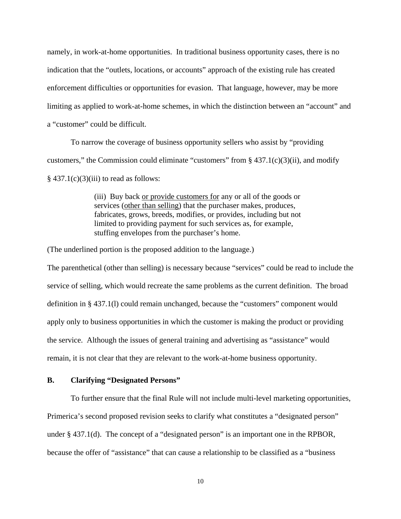namely, in work-at-home opportunities. In traditional business opportunity cases, there is no indication that the "outlets, locations, or accounts" approach of the existing rule has created enforcement difficulties or opportunities for evasion. That language, however, may be more limiting as applied to work-at-home schemes, in which the distinction between an "account" and a "customer" could be difficult.

To narrow the coverage of business opportunity sellers who assist by "providing customers," the Commission could eliminate "customers" from  $\S$  437.1(c)(3)(ii), and modify  $§$  437.1(c)(3)(iii) to read as follows:

> (iii) Buy back or provide customers for any or all of the goods or services (other than selling) that the purchaser makes, produces, fabricates, grows, breeds, modifies, or provides, including but not limited to providing payment for such services as, for example, stuffing envelopes from the purchaser's home.

(The underlined portion is the proposed addition to the language.)

The parenthetical (other than selling) is necessary because "services" could be read to include the service of selling, which would recreate the same problems as the current definition. The broad definition in § 437.1(l) could remain unchanged, because the "customers" component would apply only to business opportunities in which the customer is making the product or providing the service. Although the issues of general training and advertising as "assistance" would remain, it is not clear that they are relevant to the work-at-home business opportunity.

### **B. Clarifying "Designated Persons"**

To further ensure that the final Rule will not include multi-level marketing opportunities, Primerica's second proposed revision seeks to clarify what constitutes a "designated person" under § 437.1(d). The concept of a "designated person" is an important one in the RPBOR, because the offer of "assistance" that can cause a relationship to be classified as a "business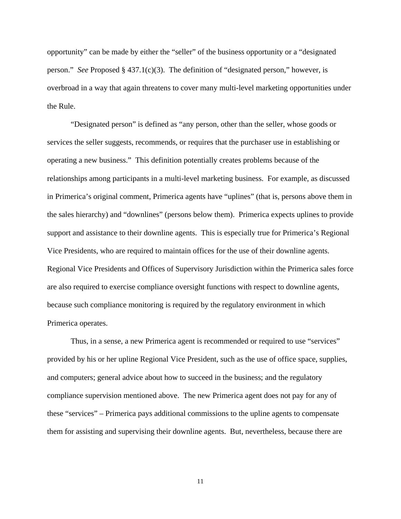opportunity" can be made by either the "seller" of the business opportunity or a "designated person." *See* Proposed § 437.1(c)(3). The definition of "designated person," however, is overbroad in a way that again threatens to cover many multi-level marketing opportunities under the Rule.

"Designated person" is defined as "any person, other than the seller, whose goods or services the seller suggests, recommends, or requires that the purchaser use in establishing or operating a new business." This definition potentially creates problems because of the relationships among participants in a multi-level marketing business. For example, as discussed in Primerica's original comment, Primerica agents have "uplines" (that is, persons above them in the sales hierarchy) and "downlines" (persons below them). Primerica expects uplines to provide support and assistance to their downline agents. This is especially true for Primerica's Regional Vice Presidents, who are required to maintain offices for the use of their downline agents. Regional Vice Presidents and Offices of Supervisory Jurisdiction within the Primerica sales force are also required to exercise compliance oversight functions with respect to downline agents, because such compliance monitoring is required by the regulatory environment in which Primerica operates.

Thus, in a sense, a new Primerica agent is recommended or required to use "services" provided by his or her upline Regional Vice President, such as the use of office space, supplies, and computers; general advice about how to succeed in the business; and the regulatory compliance supervision mentioned above. The new Primerica agent does not pay for any of these "services" – Primerica pays additional commissions to the upline agents to compensate them for assisting and supervising their downline agents. But, nevertheless, because there are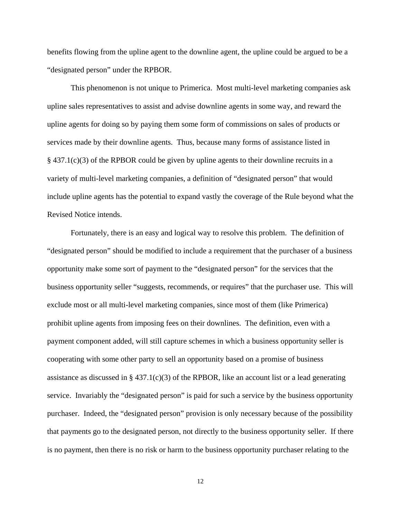benefits flowing from the upline agent to the downline agent, the upline could be argued to be a "designated person" under the RPBOR.

This phenomenon is not unique to Primerica. Most multi-level marketing companies ask upline sales representatives to assist and advise downline agents in some way, and reward the upline agents for doing so by paying them some form of commissions on sales of products or services made by their downline agents. Thus, because many forms of assistance listed in § 437.1(c)(3) of the RPBOR could be given by upline agents to their downline recruits in a variety of multi-level marketing companies, a definition of "designated person" that would include upline agents has the potential to expand vastly the coverage of the Rule beyond what the Revised Notice intends.

Fortunately, there is an easy and logical way to resolve this problem. The definition of "designated person" should be modified to include a requirement that the purchaser of a business opportunity make some sort of payment to the "designated person" for the services that the business opportunity seller "suggests, recommends, or requires" that the purchaser use. This will exclude most or all multi-level marketing companies, since most of them (like Primerica) prohibit upline agents from imposing fees on their downlines. The definition, even with a payment component added, will still capture schemes in which a business opportunity seller is cooperating with some other party to sell an opportunity based on a promise of business assistance as discussed in § 437.1(c)(3) of the RPBOR, like an account list or a lead generating service. Invariably the "designated person" is paid for such a service by the business opportunity purchaser. Indeed, the "designated person" provision is only necessary because of the possibility that payments go to the designated person, not directly to the business opportunity seller. If there is no payment, then there is no risk or harm to the business opportunity purchaser relating to the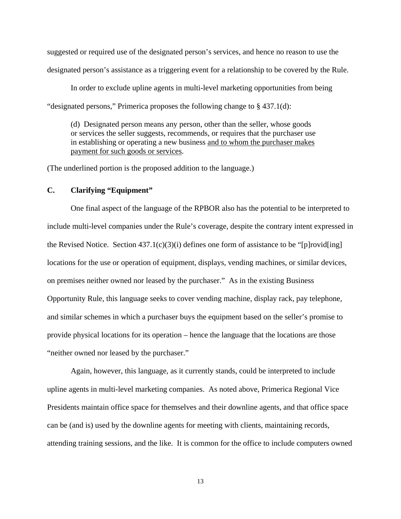suggested or required use of the designated person's services, and hence no reason to use the designated person's assistance as a triggering event for a relationship to be covered by the Rule.

In order to exclude upline agents in multi-level marketing opportunities from being "designated persons," Primerica proposes the following change to § 437.1(d):

(d) Designated person means any person, other than the seller, whose goods or services the seller suggests, recommends, or requires that the purchaser use in establishing or operating a new business and to whom the purchaser makes payment for such goods or services.

(The underlined portion is the proposed addition to the language.)

### **C. Clarifying "Equipment"**

One final aspect of the language of the RPBOR also has the potential to be interpreted to include multi-level companies under the Rule's coverage, despite the contrary intent expressed in the Revised Notice. Section  $437.1(c)(3)(i)$  defines one form of assistance to be "[p]rovid[ing] locations for the use or operation of equipment, displays, vending machines, or similar devices, on premises neither owned nor leased by the purchaser." As in the existing Business Opportunity Rule, this language seeks to cover vending machine, display rack, pay telephone, and similar schemes in which a purchaser buys the equipment based on the seller's promise to provide physical locations for its operation – hence the language that the locations are those "neither owned nor leased by the purchaser."

Again, however, this language, as it currently stands, could be interpreted to include upline agents in multi-level marketing companies. As noted above, Primerica Regional Vice Presidents maintain office space for themselves and their downline agents, and that office space can be (and is) used by the downline agents for meeting with clients, maintaining records, attending training sessions, and the like. It is common for the office to include computers owned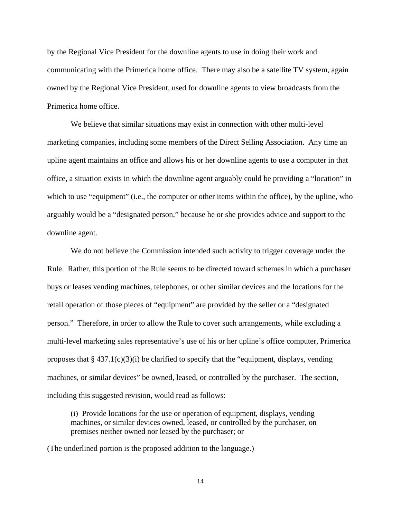by the Regional Vice President for the downline agents to use in doing their work and communicating with the Primerica home office. There may also be a satellite TV system, again owned by the Regional Vice President, used for downline agents to view broadcasts from the Primerica home office.

We believe that similar situations may exist in connection with other multi-level marketing companies, including some members of the Direct Selling Association. Any time an upline agent maintains an office and allows his or her downline agents to use a computer in that office, a situation exists in which the downline agent arguably could be providing a "location" in which to use "equipment" (i.e., the computer or other items within the office), by the upline, who arguably would be a "designated person," because he or she provides advice and support to the downline agent.

We do not believe the Commission intended such activity to trigger coverage under the Rule. Rather, this portion of the Rule seems to be directed toward schemes in which a purchaser buys or leases vending machines, telephones, or other similar devices and the locations for the retail operation of those pieces of "equipment" are provided by the seller or a "designated person." Therefore, in order to allow the Rule to cover such arrangements, while excluding a multi-level marketing sales representative's use of his or her upline's office computer, Primerica proposes that  $\S 437.1(c)(3)(i)$  be clarified to specify that the "equipment, displays, vending machines, or similar devices" be owned, leased, or controlled by the purchaser. The section, including this suggested revision, would read as follows:

(i) Provide locations for the use or operation of equipment, displays, vending machines, or similar devices owned, leased, or controlled by the purchaser, on premises neither owned nor leased by the purchaser; or

(The underlined portion is the proposed addition to the language.)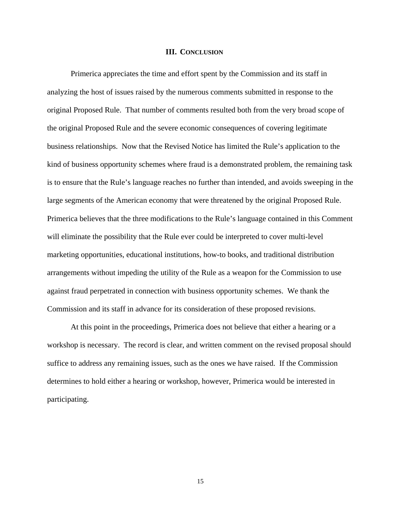#### **III. CONCLUSION**

Primerica appreciates the time and effort spent by the Commission and its staff in analyzing the host of issues raised by the numerous comments submitted in response to the original Proposed Rule. That number of comments resulted both from the very broad scope of the original Proposed Rule and the severe economic consequences of covering legitimate business relationships. Now that the Revised Notice has limited the Rule's application to the kind of business opportunity schemes where fraud is a demonstrated problem, the remaining task is to ensure that the Rule's language reaches no further than intended, and avoids sweeping in the large segments of the American economy that were threatened by the original Proposed Rule. Primerica believes that the three modifications to the Rule's language contained in this Comment will eliminate the possibility that the Rule ever could be interpreted to cover multi-level marketing opportunities, educational institutions, how-to books, and traditional distribution arrangements without impeding the utility of the Rule as a weapon for the Commission to use against fraud perpetrated in connection with business opportunity schemes. We thank the Commission and its staff in advance for its consideration of these proposed revisions.

At this point in the proceedings, Primerica does not believe that either a hearing or a workshop is necessary. The record is clear, and written comment on the revised proposal should suffice to address any remaining issues, such as the ones we have raised. If the Commission determines to hold either a hearing or workshop, however, Primerica would be interested in participating.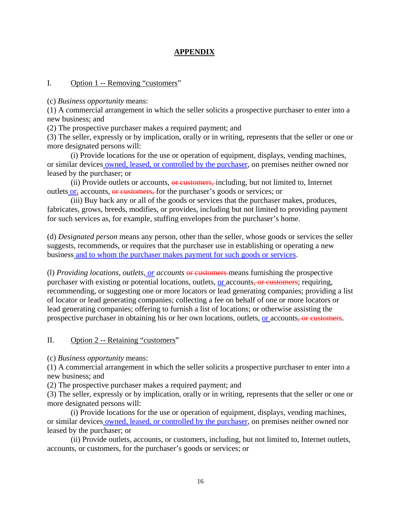# **APPENDIX**

# I. Option 1 -- Removing "customers"

(c) *Business opportunity* means:

(1) A commercial arrangement in which the seller solicits a prospective purchaser to enter into a new business; and

(2) The prospective purchaser makes a required payment; and

(3) The seller, expressly or by implication, orally or in writing, represents that the seller or one or more designated persons will:

(i) Provide locations for the use or operation of equipment, displays, vending machines, or similar devices owned, leased, or controlled by the purchaser, on premises neither owned nor leased by the purchaser; or

(ii) Provide outlets or accounts, or customers, including, but not limited to, Internet outlets  $or_5$  accounts, or customers, for the purchaser's goods or services; or

(iii) Buy back any or all of the goods or services that the purchaser makes, produces, fabricates, grows, breeds, modifies, or provides, including but not limited to providing payment for such services as, for example, stuffing envelopes from the purchaser's home.

(d) *Designated person* means any person, other than the seller, whose goods or services the seller suggests, recommends, or requires that the purchaser use in establishing or operating a new business and to whom the purchaser makes payment for such goods or services.

(l) *Providing locations, outlets, or accounts* or customers means furnishing the prospective purchaser with existing or potential locations, outlets, <u>or</u> accounts, or customers; requiring, recommending, or suggesting one or more locators or lead generating companies; providing a list of locator or lead generating companies; collecting a fee on behalf of one or more locators or lead generating companies; offering to furnish a list of locations; or otherwise assisting the prospective purchaser in obtaining his or her own locations, outlets, or accounts, or customers.

# II. Option 2 -- Retaining "customers"

(c) *Business opportunity* means:

(1) A commercial arrangement in which the seller solicits a prospective purchaser to enter into a new business; and

(2) The prospective purchaser makes a required payment; and

(3) The seller, expressly or by implication, orally or in writing, represents that the seller or one or more designated persons will:

(i) Provide locations for the use or operation of equipment, displays, vending machines, or similar devices owned, leased, or controlled by the purchaser, on premises neither owned nor leased by the purchaser; or

(ii) Provide outlets, accounts, or customers, including, but not limited to, Internet outlets, accounts, or customers, for the purchaser's goods or services; or